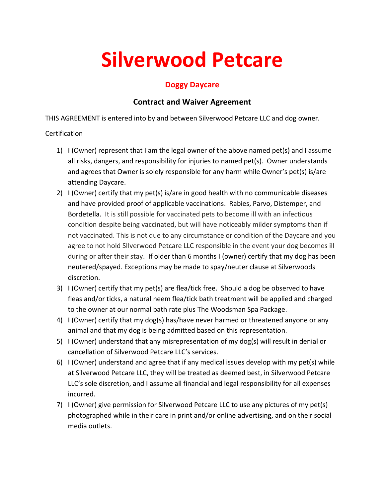# **Silverwood Petcare**

## **Doggy Daycare**

### **Contract and Waiver Agreement**

THIS AGREEMENT is entered into by and between Silverwood Petcare LLC and dog owner.

#### Certification

- 1) I (Owner) represent that I am the legal owner of the above named pet(s) and I assume all risks, dangers, and responsibility for injuries to named pet(s). Owner understands and agrees that Owner is solely responsible for any harm while Owner's pet(s) is/are attending Daycare.
- 2) I (Owner) certify that my pet(s) is/are in good health with no communicable diseases and have provided proof of applicable vaccinations. Rabies, Parvo, Distemper, and Bordetella. It is still possible for vaccinated pets to become ill with an infectious condition despite being vaccinated, but will have noticeably milder symptoms than if not vaccinated. This is not due to any circumstance or condition of the Daycare and you agree to not hold SIlverwood Petcare LLC responsible in the event your dog becomes ill during or after their stay. If older than 6 months I (owner) certify that my dog has been neutered/spayed. Exceptions may be made to spay/neuter clause at Silverwoods discretion.
- 3) I (Owner) certify that my pet(s) are flea/tick free. Should a dog be observed to have fleas and/or ticks, a natural neem flea/tick bath treatment will be applied and charged to the owner at our normal bath rate plus The Woodsman Spa Package.
- 4) I (Owner) certify that my dog(s) has/have never harmed or threatened anyone or any animal and that my dog is being admitted based on this representation.
- 5) I (Owner) understand that any misrepresentation of my dog(s) will result in denial or cancellation of Silverwood Petcare LLC's services.
- 6) I (Owner) understand and agree that if any medical issues develop with my pet(s) while at Silverwood Petcare LLC, they will be treated as deemed best, in Silverwood Petcare LLC's sole discretion, and I assume all financial and legal responsibility for all expenses incurred.
- 7) I (Owner) give permission for Silverwood Petcare LLC to use any pictures of my pet(s) photographed while in their care in print and/or online advertising, and on their social media outlets.